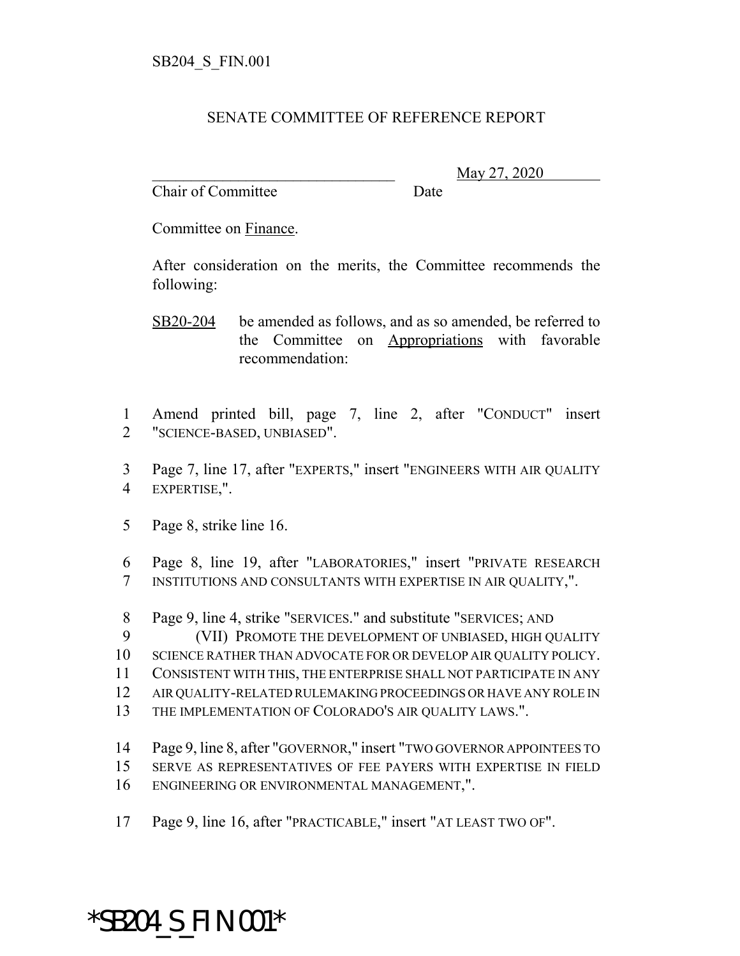## SENATE COMMITTEE OF REFERENCE REPORT

Chair of Committee Date

\_\_\_\_\_\_\_\_\_\_\_\_\_\_\_\_\_\_\_\_\_\_\_\_\_\_\_\_\_\_\_ May 27, 2020

Committee on Finance.

After consideration on the merits, the Committee recommends the following:

- SB20-204 be amended as follows, and as so amended, be referred to the Committee on Appropriations with favorable recommendation:
- Amend printed bill, page 7, line 2, after "CONDUCT" insert "SCIENCE-BASED, UNBIASED".
- Page 7, line 17, after "EXPERTS," insert "ENGINEERS WITH AIR QUALITY EXPERTISE,".
- Page 8, strike line 16.
- Page 8, line 19, after "LABORATORIES," insert "PRIVATE RESEARCH INSTITUTIONS AND CONSULTANTS WITH EXPERTISE IN AIR QUALITY,".
- Page 9, line 4, strike "SERVICES." and substitute "SERVICES; AND
- (VII) PROMOTE THE DEVELOPMENT OF UNBIASED, HIGH QUALITY
- SCIENCE RATHER THAN ADVOCATE FOR OR DEVELOP AIR QUALITY POLICY.
- CONSISTENT WITH THIS, THE ENTERPRISE SHALL NOT PARTICIPATE IN ANY
- AIR QUALITY-RELATED RULEMAKING PROCEEDINGS OR HAVE ANY ROLE IN
- THE IMPLEMENTATION OF COLORADO'S AIR QUALITY LAWS.".
- Page 9, line 8, after "GOVERNOR," insert "TWO GOVERNOR APPOINTEES TO
- SERVE AS REPRESENTATIVES OF FEE PAYERS WITH EXPERTISE IN FIELD
- ENGINEERING OR ENVIRONMENTAL MANAGEMENT,".
- Page 9, line 16, after "PRACTICABLE," insert "AT LEAST TWO OF".

## \*SB204\_S\_FIN.001\*